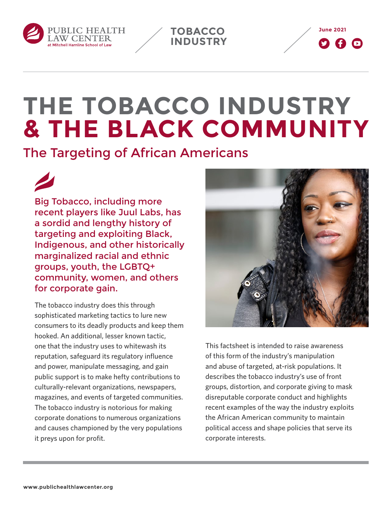





# **THE TOBACCO INDUSTRY & THE BLACK COMMUNITY**

The Targeting of African Americans

Big Tobacco, including more recent players like Juul Labs, has a sordid and lengthy history of targeting and exploiting Black, Indigenous, and other historically marginalized racial and ethnic groups, youth, the LGBTQ+ community, women, and others for corporate gain.

The tobacco industry does this through sophisticated marketing tactics to lure new consumers to its deadly products and keep them hooked. An additional, lesser known tactic, one that the industry uses to whitewash its reputation, safeguard its regulatory influence and power, manipulate messaging, and gain public support is to make hefty contributions to culturally-relevant organizations, newspapers, magazines, and events of targeted communities. The tobacco industry is notorious for making corporate donations to numerous organizations and causes championed by the very populations it preys upon for profit.



This factsheet is intended to raise awareness of this form of the industry's manipulation and abuse of targeted, at-risk populations. It describes the tobacco industry's use of front groups, distortion, and corporate giving to mask disreputable corporate conduct and highlights recent examples of the way the industry exploits the African American community to maintain political access and shape policies that serve its corporate interests.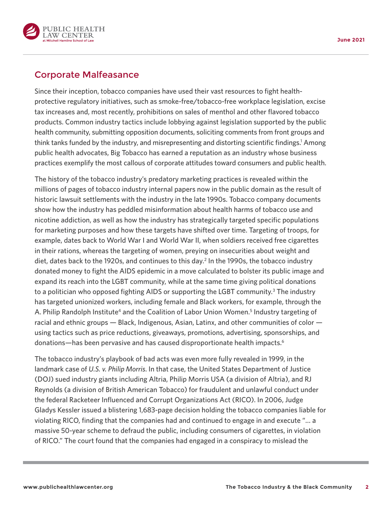<span id="page-1-0"></span>

### Corporate Malfeasance

Since their inception, tobacco companies have used their vast resources to fight healthprotective regulatory initiatives, such as smoke-free/tobacco-free workplace legislation, excise tax increases and, most recently, prohibitions on sales of menthol and other flavored tobacco products. Common industry tactics include lobbying against legislation supported by the public health community, submitting opposition documents, soliciting comments from front groups and think tanks funded by the industry, and misrepresenting and distorting scientific findings.<sup>1</sup> Among public health advocates, Big Tobacco has earned a reputation as an industry whose business practices exemplify the most callous of corporate attitudes toward consumers and public health.

The history of the tobacco industry's predatory marketing practices is revealed within the millions of pages of tobacco industry internal papers now in the public domain as the result of historic lawsuit settlements with the industry in the late 1990s. Tobacco company documents show how the industry has peddled misinformation about health harms of tobacco use and nicotine addiction, as well as how the industry has strategically targeted specific populations for marketing purposes and how these targets have shifted over time. Targeting of troops, for example, dates back to World War I and World War II, when soldiers received free cigarettes in their rations, whereas the targeting of women, preying on insecurities about weight and diet, dates back to the 1920s, and continues to this day.<sup>2</sup> In the 1990s, the tobacco industry donated money to fight the AIDS epidemic in a move calculated to bolster its public image and expand its reach into the LGBT community, while at the same time giving political donations to a politician who opposed fighting AIDS or supporting the LGBT community.<sup>3</sup> The industry has targeted unionized workers, including female and Black workers, for example, through the A. Philip Randolph Institute<sup>4</sup> and the Coalition of Labor Union Women.<sup>5</sup> Industry targeting of racial and ethnic groups — Black, Indigenous, Asian, Latinx, and other communities of color using tactics such as price reductions, giveaways, promotions, advertising, sponsorships, and donations—has been pervasive and has caused disproportionate health impacts[.6](#page-8-0)

The tobacco industry's playbook of bad acts was even more fully revealed in 1999, in the landmark case of *U.S. v. Philip Morris*. In that case, the United States Department of Justice (DOJ) sued industry giants including Altria, Philip Morris USA (a division of Altria), and RJ Reynolds (a division of British American Tobacco) for fraudulent and unlawful conduct under the federal Racketeer Influenced and Corrupt Organizations Act (RICO). In 2006, Judge Gladys Kessler issued a blistering 1,683-page decision holding the tobacco companies liable for violating RICO, finding that the companies had and continued to engage in and execute "… a massive 50-year scheme to defraud the public, including consumers of cigarettes, in violation of RICO." The court found that the companies had engaged in a conspiracy to mislead the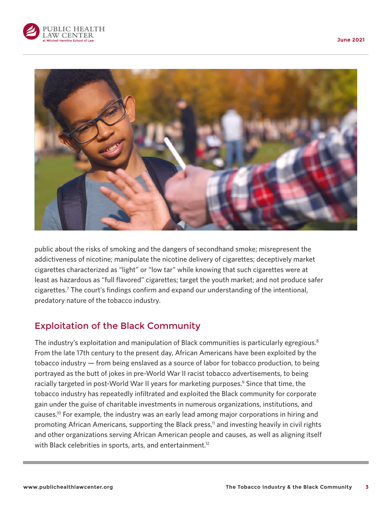<span id="page-2-0"></span>



public about the risks of smoking and the dangers of secondhand smoke; misrepresent the addictiveness of nicotine; manipulate the nicotine delivery of cigarettes; deceptively market cigarettes characterized as "light" or "low tar" while knowing that such cigarettes were at least as hazardous as "full flavored" cigarettes; target the youth market; and not produce safer cigarettes[.7](#page-8-0) The court's findings confirm and expand our understanding of the intentional, predatory nature of the tobacco industry.

## Exploitation of the Black Community

The industry's exploitation and manipulation of Black communities is particularly egregious.<sup>8</sup> From the late 17th century to the present day, African Americans have been exploited by the tobacco industry — from being enslaved as a source of labor for tobacco production, to being portrayed as the butt of jokes in pre-World War II racist tobacco advertisements, to being racially targeted in post-World War II years for marketing purposes.<sup>9</sup> Since that time, the tobacco industry has repeatedly infiltrated and exploited the Black community for corporate gain under the guise of charitable investments in numerous organizations, institutions, and causes[.10](#page-8-0) For example, the industry was an early lead among major corporations in hiring and promoting African Americans, supporting the Black press,<sup>11</sup> and investing heavily in civil rights and other organizations serving African American people and causes, as well as aligning itself with Black celebrities in sports, arts, and entertainment.<sup>12</sup>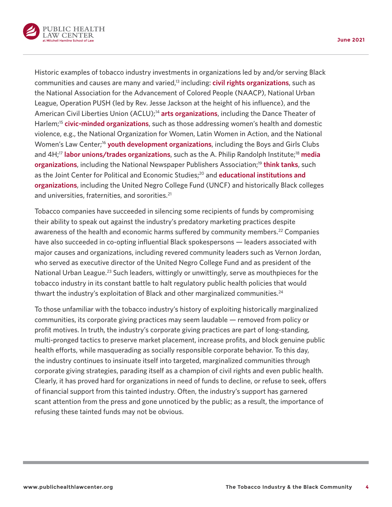<span id="page-3-0"></span>

Historic examples of tobacco industry investments in organizations led by and/or serving Black communities and causes are many and varied[,13](#page-8-0) including: **civil rights organizations**, such as the National Association for the Advancement of Colored People (NAACP), National Urban League, Operation PUSH (led by Rev. Jesse Jackson at the height of his influence), and the American Civil Liberties Union (ACLU);<sup>[14](#page-9-0)</sup> arts organizations, including the Dance Theater of Harlem;[15](#page-9-0) **civic-minded organizations**, such as those addressing women's health and domestic violence, e.g., the National Organization for Women, Latin Women in Action, and the National Women's Law Center[;16](#page-9-0) **youth development organizations**, including the Boys and Girls Clubs and 4H[;17](#page-9-0) **labor unions/trades organizations**, such as the A. Philip Randolph Institute;[18](#page-9-0) **media organizations**, including the National Newspaper Publishers Association;<sup>19</sup> think tanks, such as the Joint Center for Political and Economic Studies[;20](#page-9-0) and **educational institutions and organizations**, including the United Negro College Fund (UNCF) and historically Black colleges and universities, fraternities, and sororities.<sup>[21](#page-9-0)</sup>

Tobacco companies have succeeded in silencing some recipients of funds by compromising their ability to speak out against the industry's predatory marketing practices despite awareness of the health and economic harms suffered by community members.<sup>[22](#page-9-0)</sup> Companies have also succeeded in co-opting influential Black spokespersons — leaders associated with major causes and organizations, including revered community leaders such as Vernon Jordan, who served as executive director of the United Negro College Fund and as president of the National Urban League.<sup>23</sup> Such leaders, wittingly or unwittingly, serve as mouthpieces for the tobacco industry in its constant battle to halt regulatory public health policies that would thwart the industry's exploitation of Black and other marginalized communities. $^{24}$ 

To those unfamiliar with the tobacco industry's history of exploiting historically marginalized communities, its corporate giving practices may seem laudable — removed from policy or profit motives. In truth, the industry's corporate giving practices are part of long-standing, multi-pronged tactics to preserve market placement, increase profits, and block genuine public health efforts, while masquerading as socially responsible corporate behavior. To this day, the industry continues to insinuate itself into targeted, marginalized communities through corporate giving strategies, parading itself as a champion of civil rights and even public health. Clearly, it has proved hard for organizations in need of funds to decline, or refuse to seek, offers of financial support from this tainted industry. Often, the industry's support has garnered scant attention from the press and gone unnoticed by the public; as a result, the importance of refusing these tainted funds may not be obvious.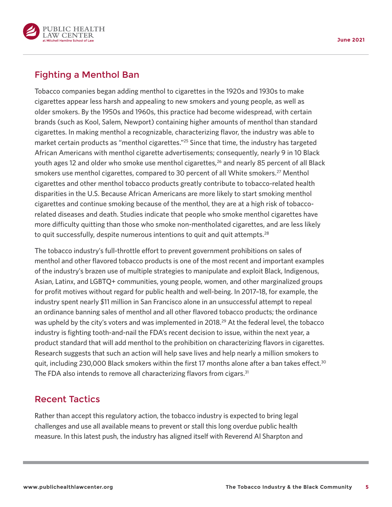<span id="page-4-0"></span>

# Fighting a Menthol Ban

Tobacco companies began adding menthol to cigarettes in the 1920s and 1930s to make cigarettes appear less harsh and appealing to new smokers and young people, as well as older smokers. By the 1950s and 1960s, this practice had become widespread, with certain brands (such as Kool, Salem, Newport) containing higher amounts of menthol than standard cigarettes. In making menthol a recognizable, characterizing flavor, the industry was able to market certain products as "menthol cigarettes.["25](#page-9-0) Since that time, the industry has targeted African Americans with menthol cigarette advertisements; consequently, nearly 9 in 10 Black youth ages 12 and older who smoke use menthol cigarettes,<sup>[26](#page-9-0)</sup> and nearly 85 percent of all Black smokers use menthol cigarettes, compared to 30 percent of all White smokers[.27](#page-9-0) Menthol cigarettes and other menthol tobacco products greatly contribute to tobacco-related health disparities in the U.S. Because African Americans are more likely to start smoking menthol cigarettes and continue smoking because of the menthol, they are at a high risk of tobaccorelated diseases and death. Studies indicate that people who smoke menthol cigarettes have more difficulty quitting than those who smoke non-mentholated cigarettes, and are less likely to quit successfully, despite numerous intentions to quit and quit attempts.<sup>[28](#page-9-0)</sup>

The tobacco industry's full-throttle effort to prevent government prohibitions on sales of menthol and other flavored tobacco products is one of the most recent and important examples of the industry's brazen use of multiple strategies to manipulate and exploit Black, Indigenous, Asian, Latinx, and LGBTQ+ communities, young people, women, and other marginalized groups for profit motives without regard for public health and well-being. In 2017–18, for example, the industry spent nearly \$11 million in San Francisco alone in an unsuccessful attempt to repeal an ordinance banning sales of menthol and all other flavored tobacco products; the ordinance was upheld by the city's voters and was implemented in 2018.<sup>29</sup> At the federal level, the tobacco industry is fighting tooth-and-nail the FDA's recent decision to issue, within the next year, a product standard that will add menthol to the prohibition on characterizing flavors in cigarettes. Research suggests that such an action will help save lives and help nearly a million smokers to quit, including 2[30](#page-9-0),000 Black smokers within the first 17 months alone after a ban takes effect.<sup>30</sup> The FDA also intends to remove all characterizing flavors from cigars.<sup>[31](#page-9-0)</sup>

#### Recent Tactics

Rather than accept this regulatory action, the tobacco industry is expected to bring legal challenges and use all available means to prevent or stall this long overdue public health measure. In this latest push, the industry has aligned itself with Reverend Al Sharpton and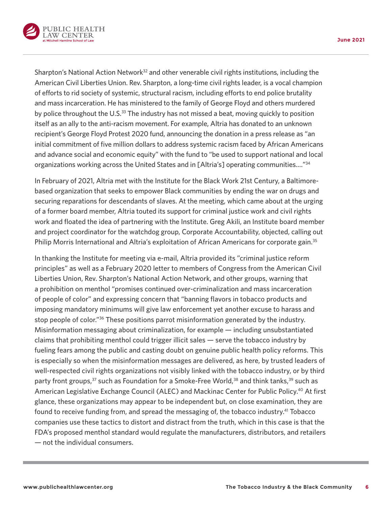<span id="page-5-0"></span>

Sharpton's National Action Network $32$  and other venerable civil rights institutions, including the American Civil Liberties Union. Rev. Sharpton, a long-time civil rights leader, is a vocal champion of efforts to rid society of systemic, structural racism, including efforts to end police brutality and mass incarceration. He has ministered to the family of George Floyd and others murdered by police throughout the U.S.<sup>33</sup> The industry has not missed a beat, moving quickly to position itself as an ally to the anti-racism movement. For example, Altria has donated to an unknown recipient's George Floyd Protest 2020 fund, announcing the donation in a press release as "an initial commitment of five million dollars to address systemic racism faced by African Americans and advance social and economic equity" with the fund to "be used to support national and local organizations working across the United States and in [Altria's] operating communities.…["34](#page-10-0)

In February of 2021, Altria met with the Institute for the Black Work 21st Century, a Baltimorebased organization that seeks to empower Black communities by ending the war on drugs and securing reparations for descendants of slaves. At the meeting, which came about at the urging of a former board member, Altria touted its support for criminal justice work and civil rights work and floated the idea of partnering with the Institute. Greg Akili, an Institute board member and project coordinator for the watchdog group, Corporate Accountability, objected, calling out Philip Morris International and Altria's exploitation of African Americans for corporate gain.<sup>[35](#page-10-0)</sup>

In thanking the Institute for meeting via e-mail, Altria provided its "criminal justice reform principles" as well as a February 2020 letter to members of Congress from the American Civil Liberties Union, Rev. Sharpton's National Action Network, and other groups, warning that a prohibition on menthol "promises continued over-criminalization and mass incarceration of people of color" and expressing concern that "banning flavors in tobacco products and imposing mandatory minimums will give law enforcement yet another excuse to harass and stop people of color."<sup>36</sup> These positions parrot misinformation generated by the industry. Misinformation messaging about criminalization, for example — including unsubstantiated claims that prohibiting menthol could trigger illicit sales — serve the tobacco industry by fueling fears among the public and casting doubt on genuine public health policy reforms. This is especially so when the misinformation messages are delivered, as here, by trusted leaders of well-respected civil rights organizations not visibly linked with the tobacco industry, or by third party front groups,<sup>37</sup> such as Foundation for a Smoke-Free World,<sup>[38](#page-10-0)</sup> and think tanks,<sup>[39](#page-10-0)</sup> such as American Legislative Exchange Council (ALEC) and Mackinac Center for Public Policy.<sup>40</sup> At first glance, these organizations may appear to be independent but, on close examination, they are found to receive funding from, and spread the messaging of, the tobacco industry.<sup>41</sup> Tobacco companies use these tactics to distort and distract from the truth, which in this case is that the FDA's proposed menthol standard would regulate the manufacturers, distributors, and retailers — not the individual consumers.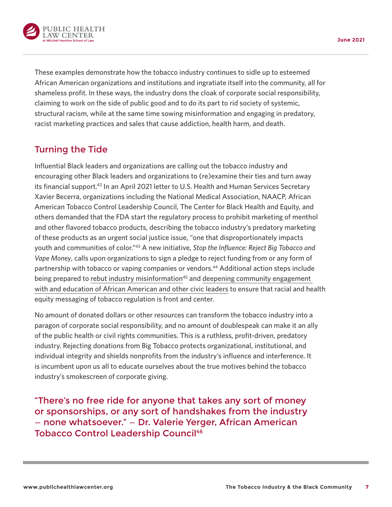<span id="page-6-0"></span>

These examples demonstrate how the tobacco industry continues to sidle up to esteemed African American organizations and institutions and ingratiate itself into the community, all for shameless profit. In these ways, the industry dons the cloak of corporate social responsibility, claiming to work on the side of public good and to do its part to rid society of systemic, structural racism, while at the same time sowing misinformation and engaging in predatory, racist marketing practices and sales that cause addiction, health harm, and death.

# Turning the Tide

Influential Black leaders and organizations are calling out the tobacco industry and encouraging other Black leaders and organizations to (re)examine their ties and turn away its financial support.<sup>42</sup> In an April 2021 letter to U.S. Health and Human Services Secretary Xavier Becerra, organizations including the National Medical Association, NAACP, African American Tobacco Control Leadership Council, The Center for Black Health and Equity, and others demanded that the FDA start the regulatory process to prohibit marketing of menthol and other flavored tobacco products, describing the tobacco industry's predatory marketing of these products as an urgent social justice issue, "one that disproportionately impacts youth and communities of color."[43](#page-10-0) A new initiative, *Stop the Influence: Reject Big Tobacco and Vape Money*, calls upon organizations to sign a pledge to reject funding from or any form of partnership with tobacco or vaping companies or vendors[.44](#page-10-0) Additional action steps include being prepared to [rebut industry misinformation](https://centerforblackhealth.org/menthol/)<sup>[45](#page-10-0)</sup> and deepening community engagement [with and education of African American and other civic leaders](https://centerforblackhealth.org/tobacco-resources/) to ensure that racial and health equity messaging of tobacco regulation is front and center.

No amount of donated dollars or other resources can transform the tobacco industry into a paragon of corporate social responsibility, and no amount of doublespeak can make it an ally of the public health or civil rights communities. This is a ruthless, profit-driven, predatory industry. Rejecting donations from Big Tobacco protects organizational, institutional, and individual integrity and shields nonprofits from the industry's influence and interference. It is incumbent upon us all to educate ourselves about the true motives behind the tobacco industry's smokescreen of corporate giving.

"There's no free ride for anyone that takes any sort of money or sponsorships, or any sort of handshakes from the industry — none whatsoever." — Dr. Valerie Yerger, African American **Tobacco Control Leadership Council<sup>[46](#page-10-0)</sup>**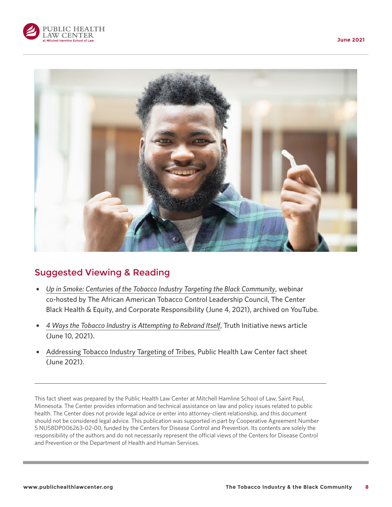



# Suggested Viewing & Reading

- { *[Up in Smoke: Centuries of the Tobacco Industry Targeting the Black Community](https://www.youtube.com/watch?v=meTgD1YTwC8)*, webinar co-hosted by The African American Tobacco Control Leadership Council, The Center Black Health & Equity, and Corporate Responsibility (June 4, 2021), archived on YouTube.
- { *[4 Ways the Tobacco Industry is Attempting to Rebrand Itself](https://truthinitiative.org/research-resources/tobacco-industry-marketing/4-ways-tobacco-industry-attempting-rebrand-itself)*, Truth Initiative news article (June 10, 2021).
- [Addressing Tobacco Industry Targeting of Tribes,](https://www.publichealthlawcenter.org/sites/default/files/resources/tribal-model-e-cigarette-resolution.pdf) Public Health Law Center fact sheet (June 2021).

This fact sheet was prepared by the Public Health Law Center at Mitchell Hamline School of Law, Saint Paul, Minnesota. The Center provides information and technical assistance on law and policy issues related to public health. The Center does not provide legal advice or enter into attorney-client relationship, and this document should not be considered legal advice. This publication was supported in part by Cooperative Agreement Number 5 NU58DP006263-02-00, funded by the Centers for Disease Control and Prevention. Its contents are solely the responsibility of the authors and do not necessarily represent the official views of the Centers for Disease Control and Prevention or the Department of Health and Human Services.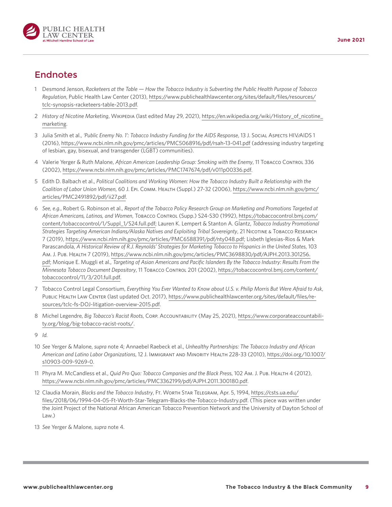<span id="page-8-0"></span>

## Endnotes

- [1](#page-1-0) Desmond Jenson, *Racketeers at the Table How the Tobacco Industry is Subverting the Public Health Purpose of Tobacco Regulation*, Public Health Law Center (2013), [https://www.publichealthlawcenter.org/sites/default/files/resources/](https://www.publichealthlawcenter.org/sites/default/files/resources/tclc-synopsis-racketeers-table-2013.pdf) [tclc-synopsis-racketeers-table-2013.pdf](https://www.publichealthlawcenter.org/sites/default/files/resources/tclc-synopsis-racketeers-table-2013.pdf).
- [2](#page-1-0) *History of Nicotine Marketing*, Wikipedia (last edited May 29, 2021), [https://en.wikipedia.org/wiki/History\\_of\\_nicotine\\_](https://en.wikipedia.org/wiki/History_of_nicotine_marketing) [marketing.](https://en.wikipedia.org/wiki/History_of_nicotine_marketing)
- [3](#page-1-0) Julia Smith et al., *'Public Enemy No. 1': Tobacco Industry Funding for the AIDS Response*, 13 J. Social Aspects HIV/AIDS 1 (2016), <https://www.ncbi.nlm.nih.gov/pmc/articles/PMC5068916/pdf/rsah-13-041.pdf> (addressing industry targeting of lesbian, gay, bisexual, and transgender (LGBT) communities).
- [4](#page-1-0) Valerie Yerger & Ruth Malone, *African American Leadership Group: Smoking with the Enemy*, 11 Tobacco Control 336 (2002), [https://www.ncbi.nlm.nih.gov/pmc/articles/PMC1747674/pdf/v011p00336.pdf.](https://www.ncbi.nlm.nih.gov/pmc/articles/PMC1747674/pdf/v011p00336.pdf)
- [5](#page-1-0) Edith D. Balbach et al., *Political Coalitions and Working Women: How the Tobacco Industry Built a Relationship with the Coalition of Labor Union Women*, 60 J. Epi. Comm. Health (Suppl.) 27-32 (2006), [https://www.ncbi.nlm.nih.gov/pmc/](https://www.ncbi.nlm.nih.gov/pmc/articles/PMC2491892/pdf/ii27.pdf) [articles/PMC2491892/pdf/ii27.pdf.](https://www.ncbi.nlm.nih.gov/pmc/articles/PMC2491892/pdf/ii27.pdf)
- [6](#page-1-0) *See, e.g.*, Robert G. Robinson et al., *Report of the Tobacco Policy Research Group on Marketing and Promotions Targeted at African Americans, Latinos, and Women*, Tobacco Control (Supp.) S24-S30 (1992), [https://tobaccocontrol.bmj.com/](https://tobaccocontrol.bmj.com/content/tobaccocontrol/1/Suppl_1/S24.full.pdf) [content/tobaccocontrol/1/Suppl\\_1/S24.full.pdf;](https://tobaccocontrol.bmj.com/content/tobaccocontrol/1/Suppl_1/S24.full.pdf) Lauren K. Lempert & Stanton A. Glantz, *Tobacco Industry Promotional Strategies Targeting American Indians/Alaska Natives and Exploiting Tribal Sovereignty*, 21 Nicotine & Tobacco Research 7 (2019), <https://www.ncbi.nlm.nih.gov/pmc/articles/PMC6588391/pdf/nty048.pdf>; Lisbeth Iglesias-Rios & Mark Parascandola, *A Historical Review of R.J. Reynolds' Strategies for Marketing Tobacco to Hispanics in the United States*, 103 Am. J. Pub. Health 7 (2019), [https://www.ncbi.nlm.nih.gov/pmc/articles/PMC3698830/pdf/AJPH.2013.301256.](https://www.ncbi.nlm.nih.gov/pmc/articles/PMC3698830/pdf/AJPH.2013.301256.pdf) [pdf](https://www.ncbi.nlm.nih.gov/pmc/articles/PMC3698830/pdf/AJPH.2013.301256.pdf); Monique E. Muggli et al., *Targeting of Asian Americans and Pacific Islanders By the Tobacco Industry: Results From the Minnesota Tobacco Document Depository*, 11 Tobacco Control 201 (2002), [https://tobaccocontrol.bmj.com/content/](https://tobaccocontrol.bmj.com/content/tobaccocontrol/11/3/201.full.pdf) [tobaccocontrol/11/3/201.full.pdf.](https://tobaccocontrol.bmj.com/content/tobaccocontrol/11/3/201.full.pdf)
- [7](#page-2-0) Tobacco Control Legal Consortium, *Everything You Ever Wanted to Know about U.S. v. Philip Morris But Were Afraid to Ask*, PUBLIC HEALTH LAW CENTER (last updated Oct. 2017), [https://www.publichealthlawcenter.org/sites/default/files/re](https://www.publichealthlawcenter.org/sites/default/files/resources/tclc-fs-DOJ-litigation-overview-2015.pdf)[sources/tclc-fs-DOJ-litigation-overview-2015.pdf.](https://www.publichealthlawcenter.org/sites/default/files/resources/tclc-fs-DOJ-litigation-overview-2015.pdf)
- [8](#page-2-0) Michel Legendre, *Big Tobacco's Racist Roots*, Corp. Accountability (May 25, 2021), [https://www.corporateaccountabili](https://www.corporateaccountability.org/blog/big-tobacco-racist-roots/)[ty.org/blog/big-tobacco-racist-roots/.](https://www.corporateaccountability.org/blog/big-tobacco-racist-roots/)
- [9](#page-2-0) *Id.*
- [10](#page-2-0) *See* Yerger & Malone, *supra* note 4; Annaebel Raebeck et al., *Unhealthy Partnerships: The Tobacco Industry and African American and Latino Labor Organizations*, 12 J. Immigrant and Minority Health 228-33 (2010), [https://doi.org/10.1007/](https://doi.org/10.1007/s10903-009-9269-0) [s10903-009-9269-0](https://doi.org/10.1007/s10903-009-9269-0).
- [11](#page-2-0) Phyra M. McCandless et al., *Quid Pro Quo: Tobacco Companies and the Black Pres*s, 102 Am. J. Pub. Health 4 (2012), <https://www.ncbi.nlm.nih.gov/pmc/articles/PMC3362199/pdf/AJPH.2011.300180.pdf>.
- [12](#page-2-0) Claudia Morain, *Blacks and the Tobacco Industry*, Ft. Worth Star Telegram, Apr. 5, 1994, [https://csts.ua.edu/](https://csts.ua.edu/files/2018/06/1994-04-05-Ft-Worth-Star-Telegram-Blacks-the-Tobacco-Industry.pdf) [files/2018/06/1994-04-05-Ft-Worth-Star-Telegram-Blacks-the-Tobacco-Industry.pdf](https://csts.ua.edu/files/2018/06/1994-04-05-Ft-Worth-Star-Telegram-Blacks-the-Tobacco-Industry.pdf). (This piece was written under the Joint Project of the National African American Tobacco Prevention Network and the University of Dayton School of Law.)
- [13](#page-3-0) *See* Yerger & Malone, *supra* note 4.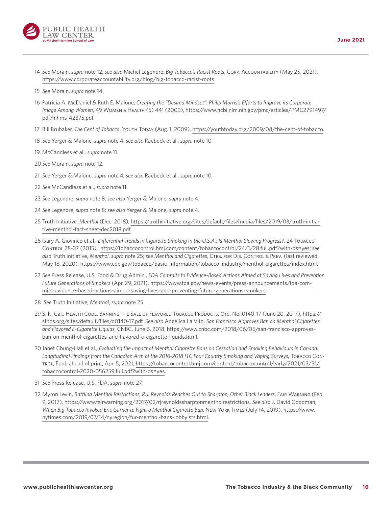<span id="page-9-0"></span>

- [14](#page-3-0) *See* Morain, *supra* note 12; *see also* Michel Legendre, *Big Tobacco's Racist Roots*, Corp. Accountability (May 25, 2021), [https://www.corporateaccountability.org/blog/big-tobacco-racist-roots.](https://www.corporateaccountability.org/blog/big-tobacco-racist-roots)
- [15](#page-3-0) *See* Morain, *supra* note 14.
- [16](#page-3-0) Patricia A. McDaniel & Ruth E. Malone, *Creating the "Desired Mindset": Philip Morris's Efforts to Improve its Corporate Image Among Women*, 49 Women & Health (5) 441 (2009), [https://www.ncbi.nlm.nih.gov/pmc/articles/PMC2791497/](https://www.ncbi.nlm.nih.gov/pmc/articles/PMC2791497/pdf/nihms142375.pdf) [pdf/nihms142375.pdf.](https://www.ncbi.nlm.nih.gov/pmc/articles/PMC2791497/pdf/nihms142375.pdf)
- [17](#page-3-0) Bill Brubaker, *The Cent of Tobacco*, Youth Today (Aug. 1, 2009), [https://youthtoday.org/2009/08/the-cent-of-tobacco.](https://youthtoday.org/2009/08/the-cent-of-tobacco)
- [18](#page-3-0) *See* Yerger & Malone, *supra* note 4; *see also* Raebeck et al., *supra* note 10.
- [19](#page-3-0) McCandless et al., *supra* note 11.
- [20](#page-3-0) *See* Morain, *supra* note 12.
- [21](#page-3-0) *See* Yerger & Malone, *supra* note 4; *see also* Raebeck et al., *supra* note 10.
- [22](#page-3-0) *See* McCandless et al., *supra* note 11.
- [23](#page-3-0) *See* Legendre, *supra* note 8; *see also* Yerger & Malone, *supra* note 4.
- [24](#page-3-0) *See* Legendre, *supra* note 8; *see also* Yerger & Malone, *supra* note 4.
- [25](#page-4-0) Truth Initiative, *Menthol* (Dec. 2018), [https://truthinitiative.org/sites/default/files/media/files/2019/03/truth-initia](https://truthinitiative.org/sites/default/files/media/files/2019/03/truth-initiative-menthol-fact-sheet-dec2018.pdf)[tive-menthol-fact-sheet-dec2018.pdf.](https://truthinitiative.org/sites/default/files/media/files/2019/03/truth-initiative-menthol-fact-sheet-dec2018.pdf)
- [26](#page-4-0) Gary A. Giovinco et al., *Differential Trends in Cigarette Smoking in the U.S.A.: Is Menthol Slowing Progress?*, 24 Tobacco Control 28-37 (2015), [https://tobaccocontrol.bmj.com/content/tobaccocontrol/24/1/28.full.pdf?with-ds=yes;](https://tobaccocontrol.bmj.com/content/tobaccocontrol/24/1/28.full.pdf?with-ds=yes) *see also* Truth Initiative, *Menthol*, *supra* note 25; *see Menthol and Cigarettes*, Ctrs. for Dis. Control & Prev. (last reviewed May 18, 2020), [https://www.cdc.gov/tobacco/basic\\_information/tobacco\\_industry/menthol-cigarettes/index.html](https://www.cdc.gov/tobacco/basic_information/tobacco_industry/menthol-cigarettes/index.html).
- [27](#page-4-0) *See* Press Release, U.S. Food & Drug Admin., *FDA Commits to Evidence-Based Actions Aimed at Saving Lives and Prevention Future Generations of Smokers* (Apr. 29, 2021), [https://www.fda.gov/news-events/press-announcements/fda-com](https://www.fda.gov/news-events/press-announcements/fda-commits-evidence-based-actions-aimed-saving-lives-and-preventing-future-generations-smokers)[mits-evidence-based-actions-aimed-saving-lives-and-preventing-future-generations-smokers](https://www.fda.gov/news-events/press-announcements/fda-commits-evidence-based-actions-aimed-saving-lives-and-preventing-future-generations-smokers).
- [28](#page-4-0) *See* Truth Initiative, *Menthol*, *supra* note 25.
- [29](#page-4-0) S. F., Cal., Health Code, Banning the Sale of Flavored Tobacco Products, Ord. No. 0140-17 (June 20, 2017), [https://](https://sfbos.org/sites/default/files/o0140-17.pdf) [sfbos.org/sites/default/files/o0140-17.pdf.](https://sfbos.org/sites/default/files/o0140-17.pdf) *See also* Angelica La Vito, *San Francisco Approves Ban on Menthol Cigarettes and Flavored E-Cigarette Liquids*, CNBC, June 6, 2018, [https://www.cnbc.com/2018/06/06/san-francisco-approves](https://www.cnbc.com/2018/06/06/san-francisco-approves-ban-on-menthol-cigarettes-and-flavored-e-cigarette-liquids.html)[ban-on-menthol-cigarettes-and-flavored-e-cigarette-liquids.html.](https://www.cnbc.com/2018/06/06/san-francisco-approves-ban-on-menthol-cigarettes-and-flavored-e-cigarette-liquids.html)
- [30](#page-4-0) Janet Chung-Hall et al., *Evaluating the Impact of Menthol Cigarette Bans on Cessation and Smoking Behaviours in Canada: Longitudinal Findings from the Canadian Arm of the 2016-2018 ITC Four Country Smoking and Vaping Surveys*, Tobacco Control, Epub ahead of print, Apr. 5, 2021, [https://tobaccocontrol.bmj.com/content/tobaccocontrol/early/2021/03/31/](https://tobaccocontrol.bmj.com/content/tobaccocontrol/early/2021/03/31/tobaccocontrol-2020-056259.full.pdf?with-ds=yes) [tobaccocontrol-2020-056259.full.pdf?with-ds=yes](https://tobaccocontrol.bmj.com/content/tobaccocontrol/early/2021/03/31/tobaccocontrol-2020-056259.full.pdf?with-ds=yes).
- [31](#page-4-0) *See* Press Release, U.S. FDA, *supra* note 27.
- [32](#page-5-0) Myron Levin, *Battling Menthol Restrictions, R.J. Reynolds Reaches Out to Sharpton, Other Black Leaders*, Fair Warning (Feb. 9, 2017), <https://www.fairwarning.org/2017/02/rjreynoldssharptonmentholrestrictions>. *See also* J. David Goodman, *When Big Tobacco Invoked Eric Garner to Fight a Menthol Cigarette Ban*, New York Times (July 14, 2019), [https://www.](https://www.nytimes.com/2019/07/14/nyregion/fur-menthol-bans-lobbyists.html) [nytimes.com/2019/07/14/nyregion/fur-menthol-bans-lobbyists.html.](https://www.nytimes.com/2019/07/14/nyregion/fur-menthol-bans-lobbyists.html)